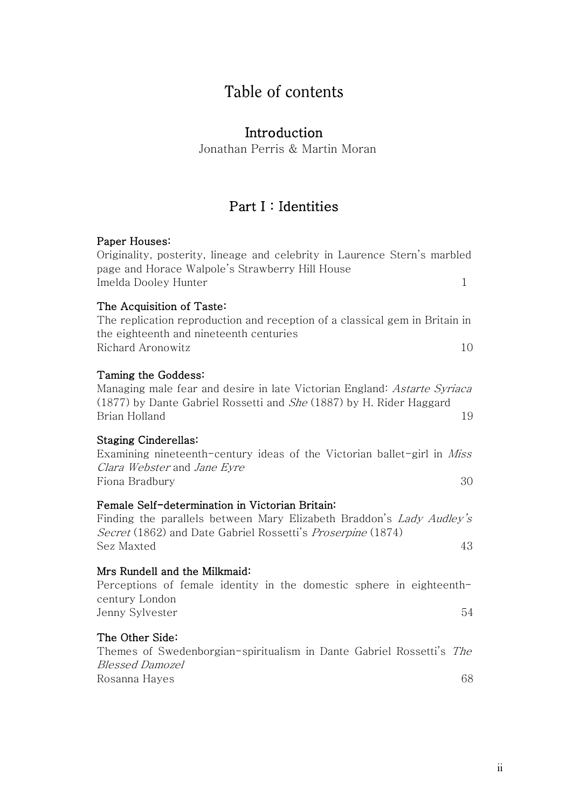# Table of contents

## Introduction

Jonathan Perris & Martin Moran

## Part I : Identities

### Paper Houses:

| Originality, posterity, lineage and celebrity in Laurence Stern's marbled<br>page and Horace Walpole's Strawberry Hill House                                                                                      |
|-------------------------------------------------------------------------------------------------------------------------------------------------------------------------------------------------------------------|
| Imelda Dooley Hunter<br>1                                                                                                                                                                                         |
| The Acquisition of Taste:<br>The replication reproduction and reception of a classical gem in Britain in<br>the eighteenth and nineteenth centuries<br>Richard Aronowitz<br>10                                    |
| Taming the Goddess:<br>Managing male fear and desire in late Victorian England: <i>Astarte Syriaca</i><br>(1877) by Dante Gabriel Rossetti and <i>She</i> (1887) by H. Rider Haggard<br>Brian Holland<br>19       |
| <b>Staging Cinderellas:</b><br>Examining nineteenth-century ideas of the Victorian ballet-girl in <i>Miss</i><br>Clara Webster and Jane Eyre<br>Fiona Bradbury<br>30                                              |
| Female Self-determination in Victorian Britain:<br>Finding the parallels between Mary Elizabeth Braddon's <i>Lady Audley's</i><br>Secret (1862) and Date Gabriel Rossetti's Proserpine (1874)<br>Sez Maxted<br>43 |
| Mrs Rundell and the Milkmaid:<br>Perceptions of female identity in the domestic sphere in eighteenth-<br>century London<br>54<br>Jenny Sylvester                                                                  |
| The Other Side:<br>Themes of Swedenborgian-spiritualism in Dante Gabriel Rossetti's <i>The</i><br><i>Blessed Damozel</i><br>68<br>Rosanna Hayes                                                                   |
|                                                                                                                                                                                                                   |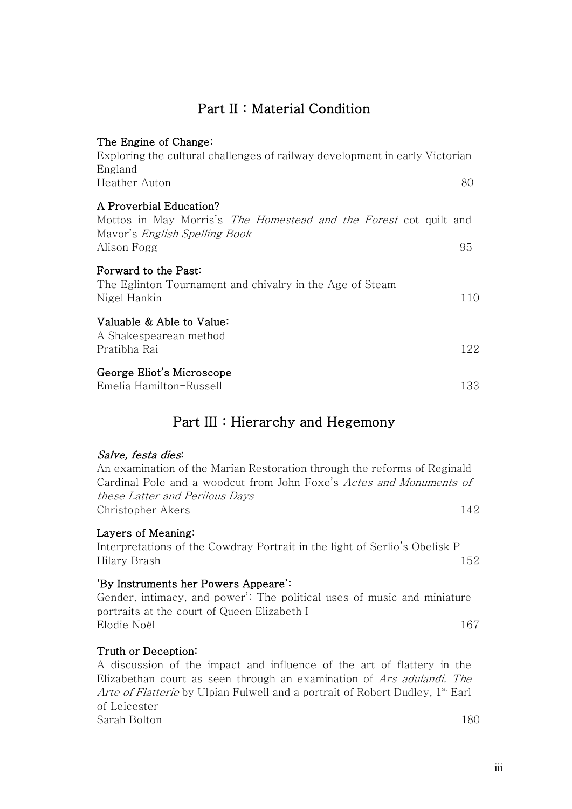## Part II : Material Condition

| The Engine of Change:<br>Exploring the cultural challenges of railway development in early Victorian<br>England                                            |     |
|------------------------------------------------------------------------------------------------------------------------------------------------------------|-----|
| Heather Auton                                                                                                                                              | 80  |
| A Proverbial Education?<br>Mottos in May Morris's <i>The Homestead and the Forest</i> cot quilt and<br>Mayor's <i>English Spelling Book</i><br>Alison Fogg | 95  |
| Forward to the Past:<br>The Eglinton Tournament and chivalry in the Age of Steam<br>Nigel Hankin                                                           | 110 |
| Valuable & Able to Value:<br>A Shakespearean method<br>Pratibha Rai                                                                                        | 122 |
| George Eliot's Microscope<br>Emelia Hamilton-Russell                                                                                                       | 133 |

## Part III : Hierarchy and Hegemony

#### Salve, festa dies:

An examination of the Marian Restoration through the reforms of Reginald Cardinal Pole and a woodcut from John Foxe's Actes and Monuments of these Latter and Perilous Days Christopher Akers 142

### Layers of Meaning:

Interpretations of the Cowdray Portrait in the light of Serlio's Obelisk P Hilary Brash 152

### 'By Instruments her Powers Appeare':

Gender, intimacy, and power': The political uses of music and miniature portraits at the court of Queen Elizabeth I Elodie Noël 167

### Truth or Deception:

A discussion of the impact and influence of the art of flattery in the Elizabethan court as seen through an examination of Ars adulandi, The Arte of Flatterie by Ulpian Fulwell and a portrait of Robert Dudley,  $1<sup>st</sup>$  Earl of Leicester Sarah Bolton 180